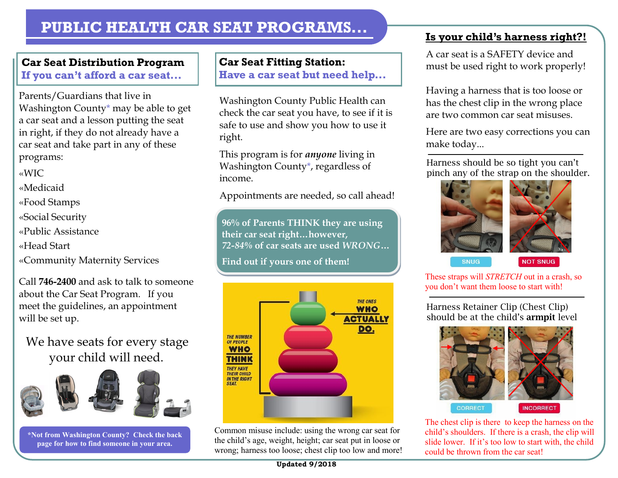# **Car Seat Distribution Program**

**If you can't afford a car seat...**

Parents/Guardians that live in Washington County\* may be able to get a car seat and a lesson putting the seat in right, if they do not already have a car seat and take part in any of these programs:

«WIC

«Medicaid

«Food Stamps

«Social Security

«Public Assistance

«Head Start

«Community Maternity Services

Call **746-2400** and ask to talk to someone about the Car Seat Program. If you meet the guidelines, an appointment will be set up.

We have seats for every stage your child will need.



**\*Not from Washington County? Check the back page for how to find someone in your area.**

## **Car Seat Fitting Station:**

**Have a car seat but need help...**

Washington County Public Health can check the car seat you have, to see if it is safe to use and show you how to use it right.

This program is for *anyone* living in Washington County\*, regardless of income.

Appointments are needed, so call ahead!

**96% of Parents THINK they are using their car seat right…however,**  *72-84%* **of car seats are used** *WRONG***…** 

**Find out if yours one of them!**



Common misuse include: using the wrong car seat for the child's age, weight, height; car seat put in loose or wrong; harness too loose; chest clip too low and more!

## **Is your child's harness right?!**

A car seat is a SAFETY device and must be used right to work properly!

Having a harness that is too loose or has the chest clip in the wrong place are two common car seat misuses.

Here are two easy corrections you can make today...

Harness should be so tight you can't pinch any of the strap on the shoulder.



**SNUG** 



**NOT SNUG** 

These straps will *STRETCH* out in a crash, so you don't want them loose to start with!

Harness Retainer Clip (Chest Clip) should be at the child's **armpit** level



The chest clip is there to keep the harness on the child's shoulders. If there is a crash, the clip will slide lower. If it's too low to start with, the child could be thrown from the car seat!